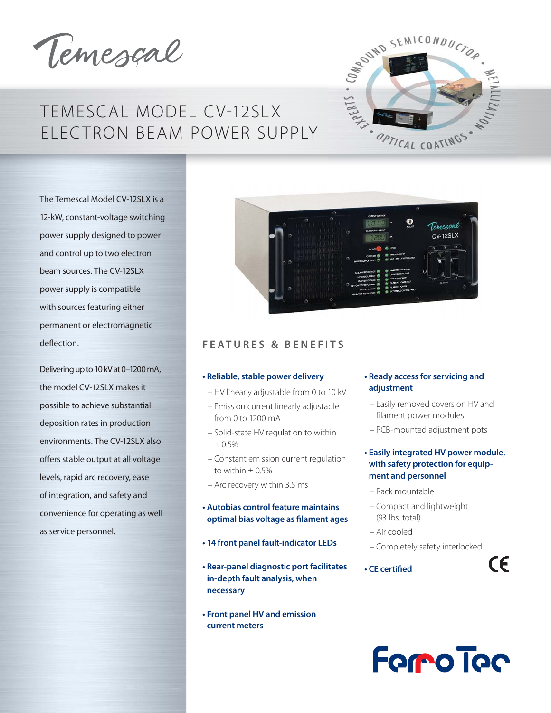Temescal

# TEMESCAL MODEL CV-12SLX ELEC TRON BEAM POWER SUPPLY



The Temescal Model CV-12SLX is a 12-kW, constant-voltage switching power supply designed to power and control up to two electron beam sources. The CV-12SLX power supply is compatible with sources featuring either permanent or electromagnetic deflection.

Delivering up to 10 kV at 0–1200 mA, the model CV-12SLX makes it possible to achieve substantial deposition rates in production environments. The CV-12SLX also offers stable output at all voltage levels, rapid arc recovery, ease of integration, and safety and convenience for operating as well as service personnel.



### **FEATURES & BENEFITS**

### **• Reliable, stable power delivery**

- HV linearly adjustable from 0 to 10 kV
- Emission current linearly adjustable from 0 to 1200 mA
- Solid-state HV regulation to within ± 0.5%
- Constant emission current regulation to within  $\pm$  0.5%
- Arc recovery within 3.5 ms

### **• Autobias control feature maintains optimal bias voltage as filament ages**

- **14 front panel fault-indicator LEDs**
- **Rear-panel diagnostic port facilitates in-depth fault analysis, when necessary**
- **Front panel HV and emission current meters**

### **• Ready access for servicing and adjustment**

- Easily removed covers on HV and filament power modules
- PCB-mounted adjustment pots

### **• Easily integrated HV power module, with safety protection for equipment and personnel**

- Rack mountable
- Compact and lightweight (93 lbs. total)
- Air cooled
- Completely safety interlocked

 $\epsilon$ 

• CF certified

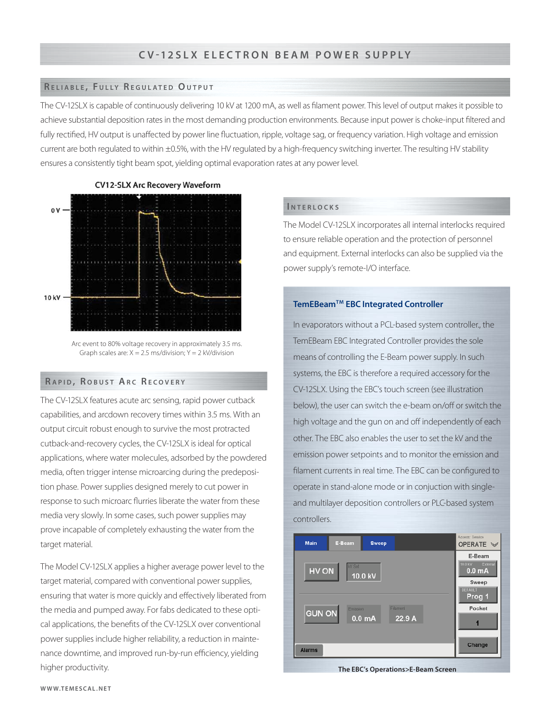### **R ELIABLE , F ULLY R EGULATED O UTPUT**

The CV-12SLX is capable of continuously delivering 10 kV at 1200 mA, as well as filament power. This level of output makes it possible to achieve substantial deposition rates in the most demanding production environments. Because input power is choke-input filtered and fully rectified, HV output is unaffected by power line fluctuation, ripple, voltage sag, or frequency variation. High voltage and emission current are both regulated to within ±0.5%, with the HV regulated by a high-frequency switching inverter. The resulting HV stability ensures a consistently tight beam spot, yielding optimal evaporation rates at any power level.



**CV12-SLX Arc Recovery Waveform** 

### **R APID , R OBUST AR C R ECOVERY**

The CV-12SLX features acute arc sensing, rapid power cutback capabilities, and arcdown recovery times within 3.5 ms. With an output circuit robust enough to survive the most protracted cutback-and-recovery cycles, the CV-12SLX is ideal for optical applications, where water molecules, adsorbed by the powdered media, often trigger intense microarcing during the predeposition phase. Power supplies designed merely to cut power in response to such microarc flurries liberate the water from these media very slowly. In some cases, such power supplies may prove incapable of completely exhausting the water from the target material.

The Model CV-12SLX applies a higher average power level to the target material, compared with conventional power supplies, ensuring that water is more quickly and effectively liberated from the media and pumped away. For fabs dedicated to these optical applications, the benefits of the CV-12SLX over conventional power supplies include higher reliability, a reduction in maintenance downtime, and improved run-by-run efficiency, yielding higher productivity.

### **I NTERLOCKS**

The Model CV-12SLX incorporates all internal interlocks required to ensure reliable operation and the protection of personnel and equipment. External interlocks can also be supplied via the power supply's remote-I/O interface.

### **TemEBeamTM EBC Integrated Controller**

In evaporators without a PCL-based system controller., the TemEBeam EBC Integrated Controller provides the sole means of controlling the E-Beam power supply. In such systems, the EBC is therefore a required accessory for the CV-12SLX. Using the EBC's touch screen (see illustration below), the user can switch the e-beam on/off or switch the high voltage and the gun on and off independently of each other. The EBC also enables the user to set the kV and the emission power setpoints and to monitor the emission and filament currents in real time. The EBC can be configured to operate in stand-alone mode or in conjuction with singleand multilayer deposition controllers or PLC-based system controllers.



**The EBC's Operations>E-Beam Screen**

Arc event to 80% voltage recovery in approximately 3.5 ms. Graph scales are:  $X = 2.5$  ms/division;  $Y = 2$  kV/division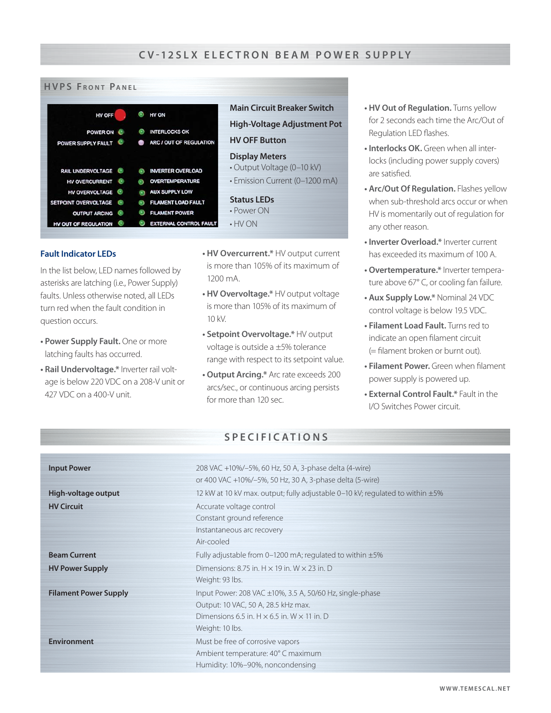

### **Fault Indicator LEDs**

In the list below, LED names followed by asterisks are latching (i.e., Power Supply) faults. Unless otherwise noted, all LEDs turn red when the fault condition in question occurs.

- **Power Supply Fault.** One or more latching faults has occurred.
- **Rail Undervoltage.\*** Inverter rail voltage is below 220 VDC on a 208-V unit or 427 VDC on a 400-V unit.
- **HV Overcurrent.\*** HV output current is more than 105% of its maximum of 1200 mA.
- **HV Overvoltage.\*** HV output voltage is more than 105% of its maximum of 10 kV.
- **Setpoint Overvoltage.\*** HV output voltage is outside a ±5% tolerance range with respect to its setpoint value.
- **Output Arcing.\*** Arc rate exceeds 200 arcs/sec., or continuous arcing persists for more than 120 sec.
- **HV Out of Regulation.** Turns yellow for 2 seconds each time the Arc/Out of Regulation LED flashes.
- **Interlocks OK.** Green when all interlocks (including power supply covers) are satisfied.
- **Arc/Out Of Regulation.** Flashes yellow when sub-threshold arcs occur or when HV is momentarily out of regulation for any other reason.
- **Inverter Overload.\*** Inverter current has exceeded its maximum of 100 A.
- **Overtemperature.\*** Inverter temperature above 67° C, or cooling fan failure.
- **Aux Supply Low.\*** Nominal 24 VDC control voltage is below 19.5 VDC.
- **Filament Load Fault.** Turns red to indicate an open filament circuit  $(=\text{filament broken or burnt out}).$
- **Filament Power.** Green when filament power supply is powered up.
- **External Control Fault.\*** Fault in the I/O Switches Power circuit.

## **SPECIFICATIONS**

| <b>Input Power</b>           | 208 VAC +10%/-5%, 60 Hz, 50 A, 3-phase delta (4-wire)                               |
|------------------------------|-------------------------------------------------------------------------------------|
|                              | or 400 VAC +10%/-5%, 50 Hz, 30 A, 3-phase delta (5-wire)                            |
| High-voltage output          | 12 kW at 10 kV max. output; fully adjustable 0–10 kV; regulated to within $\pm 5\%$ |
| <b>HV Circuit</b>            | Accurate voltage control                                                            |
|                              | Constant ground reference                                                           |
|                              | Instantaneous arc recovery                                                          |
|                              | Air-cooled                                                                          |
| <b>Beam Current</b>          | Fully adjustable from 0-1200 mA; regulated to within $\pm 5\%$                      |
| <b>HV Power Supply</b>       | Dimensions: 8.75 in. $H \times 19$ in. W $\times$ 23 in. D                          |
|                              | Weight: 93 lbs.                                                                     |
| <b>Filament Power Supply</b> | Input Power: 208 VAC $\pm$ 10%, 3.5 A, 50/60 Hz, single-phase                       |
|                              | Output: 10 VAC, 50 A, 28.5 kHz max.                                                 |
|                              | Dimensions 6.5 in. $H \times 6.5$ in. W $\times$ 11 in. D                           |
|                              | Weight: 10 lbs.                                                                     |
| <b>Environment</b>           | Must be free of corrosive vapors                                                    |
|                              | Ambient temperature: 40°C maximum                                                   |
|                              | Humidity: 10%-90%, noncondensing                                                    |
|                              |                                                                                     |